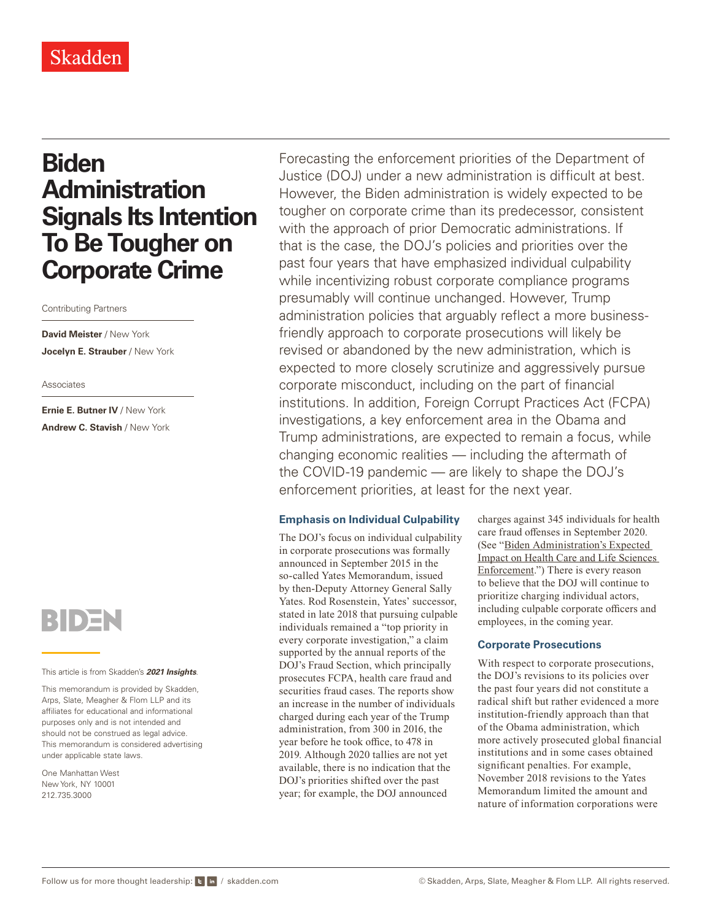# **Biden Administration Signals Its Intention To Be Tougher on Corporate Crime**

Contributing Partners

**David Meister** / New York **Jocelyn E. Strauber** / New York

#### Associates

**Ernie E. Butner IV** / New York **Andrew C. Stavish** / New York



#### This article is from Skadden's *[2021 Insights](https://www.skadden.com/insights/publications/2021/01/2021-insights/2021-insights)*.

This memorandum is provided by Skadden, Arps, Slate, Meagher & Flom LLP and its affiliates for educational and informational purposes only and is not intended and should not be construed as legal advice. This memorandum is considered advertising under applicable state laws.

One Manhattan West New York, NY 10001 212.735.3000

Forecasting the enforcement priorities of the Department of Justice (DOJ) under a new administration is difficult at best. However, the Biden administration is widely expected to be tougher on corporate crime than its predecessor, consistent with the approach of prior Democratic administrations. If that is the case, the DOJ's policies and priorities over the past four years that have emphasized individual culpability while incentivizing robust corporate compliance programs presumably will continue unchanged. However, Trump administration policies that arguably reflect a more businessfriendly approach to corporate prosecutions will likely be revised or abandoned by the new administration, which is expected to more closely scrutinize and aggressively pursue corporate misconduct, including on the part of financial institutions. In addition, Foreign Corrupt Practices Act (FCPA) investigations, a key enforcement area in the Obama and Trump administrations, are expected to remain a focus, while changing economic realities — including the aftermath of the COVID-19 pandemic — are likely to shape the DOJ's enforcement priorities, at least for the next year.

## **Emphasis on Individual Culpability**

The DOJ's focus on individual culpability in corporate prosecutions was formally announced in September 2015 in the so-called Yates Memorandum, issued by then-Deputy Attorney General Sally Yates. Rod Rosenstein, Yates' successor, stated in late 2018 that pursuing culpable individuals remained a "top priority in every corporate investigation," a claim supported by the annual reports of the DOJ's Fraud Section, which principally prosecutes FCPA, health care fraud and securities fraud cases. The reports show an increase in the number of individuals charged during each year of the Trump administration, from 300 in 2016, the year before he took office, to 478 in 2019. Although 2020 tallies are not yet available, there is no indication that the DOJ's priorities shifted over the past year; for example, the DOJ announced

charges against 345 individuals for health care fraud offenses in September 2020. (See "[Biden Administration's Expected](https://www.skadden.com/insights/publications/2021/01/2021-insights/regulatory/biden-administrations-expected-impact)  [Impact on Health Care and Life Sciences](https://www.skadden.com/insights/publications/2021/01/2021-insights/regulatory/biden-administrations-expected-impact)  [Enforcement](https://www.skadden.com/insights/publications/2021/01/2021-insights/regulatory/biden-administrations-expected-impact).") There is every reason to believe that the DOJ will continue to prioritize charging individual actors, including culpable corporate officers and employees, in the coming year.

## **Corporate Prosecutions**

With respect to corporate prosecutions, the DOJ's revisions to its policies over the past four years did not constitute a radical shift but rather evidenced a more institution-friendly approach than that of the Obama administration, which more actively prosecuted global financial institutions and in some cases obtained significant penalties. For example, November 2018 revisions to the Yates Memorandum limited the amount and nature of information corporations were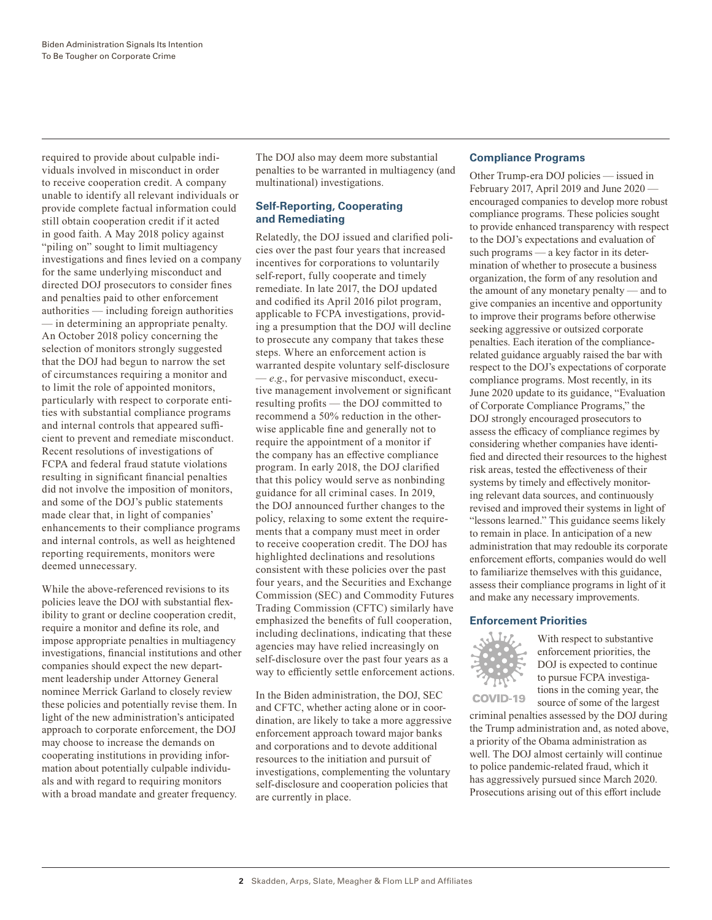required to provide about culpable individuals involved in misconduct in order to receive cooperation credit. A company unable to identify all relevant individuals or provide complete factual information could still obtain cooperation credit if it acted in good faith. A May 2018 policy against "piling on" sought to limit multiagency investigations and fines levied on a company for the same underlying misconduct and directed DOJ prosecutors to consider fines and penalties paid to other enforcement authorities — including foreign authorities — in determining an appropriate penalty. An October 2018 policy concerning the selection of monitors strongly suggested that the DOJ had begun to narrow the set of circumstances requiring a monitor and to limit the role of appointed monitors, particularly with respect to corporate entities with substantial compliance programs and internal controls that appeared sufficient to prevent and remediate misconduct. Recent resolutions of investigations of FCPA and federal fraud statute violations resulting in significant financial penalties did not involve the imposition of monitors, and some of the DOJ's public statements made clear that, in light of companies' enhancements to their compliance programs and internal controls, as well as heightened reporting requirements, monitors were deemed unnecessary.

While the above-referenced revisions to its policies leave the DOJ with substantial flexibility to grant or decline cooperation credit, require a monitor and define its role, and impose appropriate penalties in multiagency investigations, financial institutions and other companies should expect the new department leadership under Attorney General nominee Merrick Garland to closely review these policies and potentially revise them. In light of the new administration's anticipated approach to corporate enforcement, the DOJ may choose to increase the demands on cooperating institutions in providing information about potentially culpable individuals and with regard to requiring monitors with a broad mandate and greater frequency.

The DOJ also may deem more substantial penalties to be warranted in multiagency (and multinational) investigations.

# **Self-Reporting, Cooperating and Remediating**

Relatedly, the DOJ issued and clarified policies over the past four years that increased incentives for corporations to voluntarily self-report, fully cooperate and timely remediate. In late 2017, the DOJ updated and codified its April 2016 pilot program, applicable to FCPA investigations, providing a presumption that the DOJ will decline to prosecute any company that takes these steps. Where an enforcement action is warranted despite voluntary self-disclosure — *e.g*., for pervasive misconduct, executive management involvement or significant resulting profits — the DOJ committed to recommend a 50% reduction in the otherwise applicable fine and generally not to require the appointment of a monitor if the company has an effective compliance program. In early 2018, the DOJ clarified that this policy would serve as nonbinding guidance for all criminal cases. In 2019, the DOJ announced further changes to the policy, relaxing to some extent the requirements that a company must meet in order to receive cooperation credit. The DOJ has highlighted declinations and resolutions consistent with these policies over the past four years, and the Securities and Exchange Commission (SEC) and Commodity Futures Trading Commission (CFTC) similarly have emphasized the benefits of full cooperation, including declinations, indicating that these agencies may have relied increasingly on self-disclosure over the past four years as a way to efficiently settle enforcement actions.

In the Biden administration, the DOJ, SEC and CFTC, whether acting alone or in coordination, are likely to take a more aggressive enforcement approach toward major banks and corporations and to devote additional resources to the initiation and pursuit of investigations, complementing the voluntary self-disclosure and cooperation policies that are currently in place.

# **Compliance Programs**

Other Trump-era DOJ policies — issued in February 2017, April 2019 and June 2020 encouraged companies to develop more robust compliance programs. These policies sought to provide enhanced transparency with respect to the DOJ's expectations and evaluation of such programs — a key factor in its determination of whether to prosecute a business organization, the form of any resolution and the amount of any monetary penalty — and to give companies an incentive and opportunity to improve their programs before otherwise seeking aggressive or outsized corporate penalties. Each iteration of the compliancerelated guidance arguably raised the bar with respect to the DOJ's expectations of corporate compliance programs. Most recently, in its June 2020 update to its guidance, "Evaluation of Corporate Compliance Programs," the DOJ strongly encouraged prosecutors to assess the efficacy of compliance regimes by considering whether companies have identified and directed their resources to the highest risk areas, tested the effectiveness of their systems by timely and effectively monitoring relevant data sources, and continuously revised and improved their systems in light of "lessons learned." This guidance seems likely to remain in place. In anticipation of a new administration that may redouble its corporate enforcement efforts, companies would do well to familiarize themselves with this guidance, assess their compliance programs in light of it and make any necessary improvements.

# **Enforcement Priorities**



**COVID-19** 

With respect to substantive enforcement priorities, the DOJ is expected to continue to pursue FCPA investigations in the coming year, the source of some of the largest

criminal penalties assessed by the DOJ during the Trump administration and, as noted above, a priority of the Obama administration as well. The DOJ almost certainly will continue to police pandemic-related fraud, which it has aggressively pursued since March 2020. Prosecutions arising out of this effort include